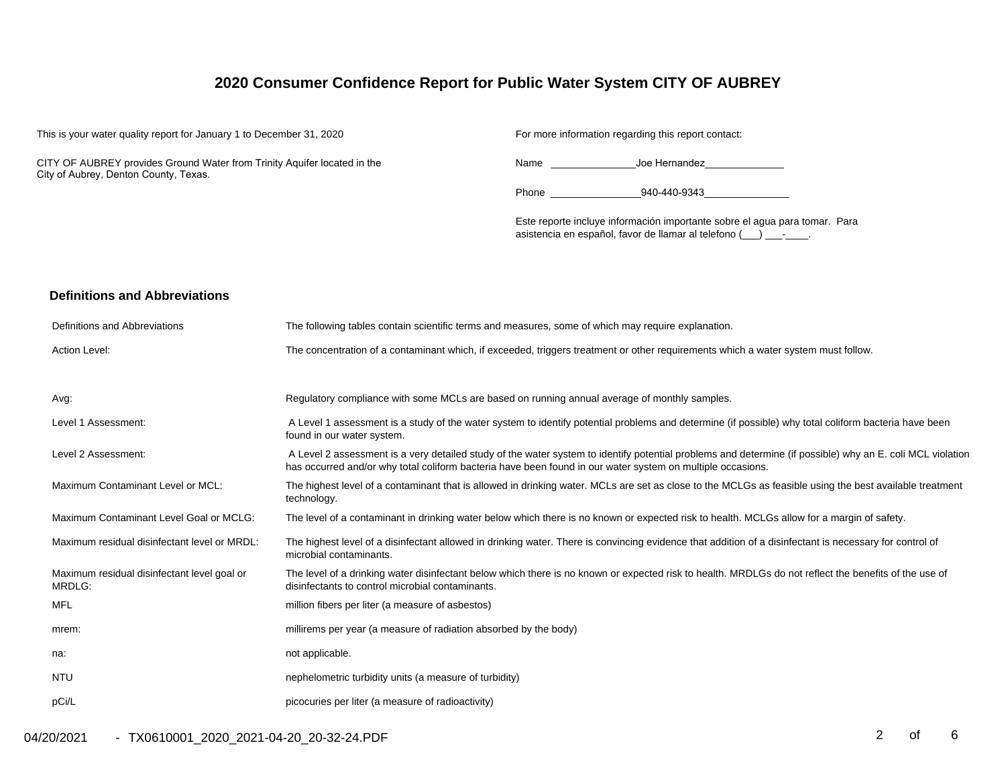# **2020 Consumer Confidence Report for Public Water System CITY OF AUBREY**

This is your water quality report for January 1 to December 31, 2020

For more information regarding this report contact:

CITY OF AUBREY provides Ground Water from Trinity Aquifer located in the City of Aubrey, Denton County, Texas.

Name \_\_\_\_\_\_\_\_\_\_\_\_\_\_\_Joe Hernandez\_\_\_\_\_\_\_\_\_\_\_\_\_\_

Phone \_\_\_\_\_\_\_\_\_\_\_\_\_\_\_\_940-440-9343\_\_\_\_\_\_\_\_\_\_\_\_\_\_\_

Este reporte incluye información importante sobre el agua para tomar. Paraasistencia en español, favor de llamar al telefono (\_\_\_) \_\_\_-\_\_\_\_.

#### **Definitions and Abbreviations**

| Definitions and Abbreviations                         | The following tables contain scientific terms and measures, some of which may require explanation.                                                                                                                                                                      |
|-------------------------------------------------------|-------------------------------------------------------------------------------------------------------------------------------------------------------------------------------------------------------------------------------------------------------------------------|
| Action Level:                                         | The concentration of a contaminant which, if exceeded, triggers treatment or other requirements which a water system must follow.                                                                                                                                       |
|                                                       |                                                                                                                                                                                                                                                                         |
| Avg:                                                  | Regulatory compliance with some MCLs are based on running annual average of monthly samples.                                                                                                                                                                            |
| Level 1 Assessment:                                   | A Level 1 assessment is a study of the water system to identify potential problems and determine (if possible) why total coliform bacteria have been<br>found in our water system.                                                                                      |
| Level 2 Assessment:                                   | A Level 2 assessment is a very detailed study of the water system to identify potential problems and determine (if possible) why an E. coli MCL violation<br>has occurred and/or why total coliform bacteria have been found in our water system on multiple occasions. |
| Maximum Contaminant Level or MCL:                     | The highest level of a contaminant that is allowed in drinking water. MCLs are set as close to the MCLGs as feasible using the best available treatment<br>technology.                                                                                                  |
| Maximum Contaminant Level Goal or MCLG:               | The level of a contaminant in drinking water below which there is no known or expected risk to health. MCLGs allow for a margin of safety.                                                                                                                              |
| Maximum residual disinfectant level or MRDL:          | The highest level of a disinfectant allowed in drinking water. There is convincing evidence that addition of a disinfectant is necessary for control of<br>microbial contaminants.                                                                                      |
| Maximum residual disinfectant level goal or<br>MRDLG: | The level of a drinking water disinfectant below which there is no known or expected risk to health. MRDLGs do not reflect the benefits of the use of<br>disinfectants to control microbial contaminants.                                                               |
| MFL                                                   | million fibers per liter (a measure of asbestos)                                                                                                                                                                                                                        |
| mrem:                                                 | millirems per year (a measure of radiation absorbed by the body)                                                                                                                                                                                                        |
| na:                                                   | not applicable.                                                                                                                                                                                                                                                         |
| <b>NTU</b>                                            | nephelometric turbidity units (a measure of turbidity)                                                                                                                                                                                                                  |
| pCi/L                                                 | picocuries per liter (a measure of radioactivity)                                                                                                                                                                                                                       |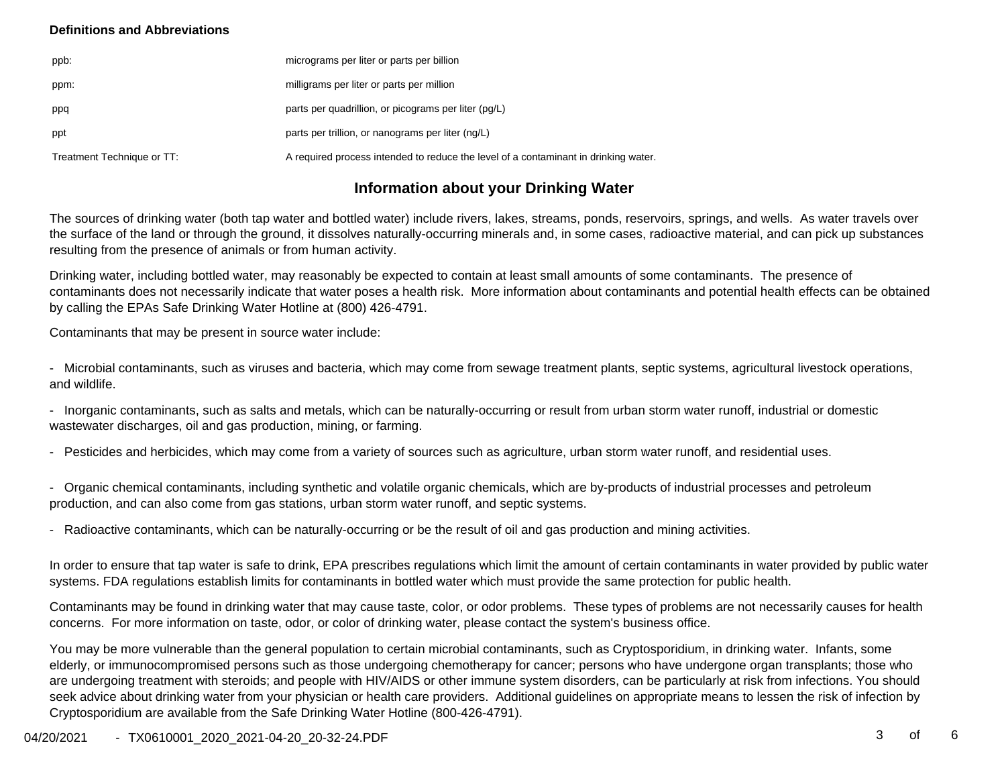### **Definitions and Abbreviations**

| ppb:                       | micrograms per liter or parts per billion                                           |
|----------------------------|-------------------------------------------------------------------------------------|
| ppm:                       | milligrams per liter or parts per million                                           |
| ppq                        | parts per quadrillion, or picograms per liter (pg/L)                                |
| ppt                        | parts per trillion, or nanograms per liter (ng/L)                                   |
| Treatment Technique or TT: | A required process intended to reduce the level of a contaminant in drinking water. |

# **Information about your Drinking Water**

The sources of drinking water (both tap water and bottled water) include rivers, lakes, streams, ponds, reservoirs, springs, and wells. As water travels over the surface of the land or through the ground, it dissolves naturally-occurring minerals and, in some cases, radioactive material, and can pick up substancesresulting from the presence of animals or from human activity.

Drinking water, including bottled water, may reasonably be expected to contain at least small amounts of some contaminants. The presence ofcontaminants does not necessarily indicate that water poses a health risk. More information about contaminants and potential health effects can be obtainedby calling the EPAs Safe Drinking Water Hotline at (800) 426-4791.

Contaminants that may be present in source water include:

- Microbial contaminants, such as viruses and bacteria, which may come from sewage treatment plants, septic systems, agricultural livestock operations,and wildlife.

- Inorganic contaminants, such as salts and metals, which can be naturally-occurring or result from urban storm water runoff, industrial or domesticwastewater discharges, oil and gas production, mining, or farming.

- Pesticides and herbicides, which may come from a variety of sources such as agriculture, urban storm water runoff, and residential uses.

- Organic chemical contaminants, including synthetic and volatile organic chemicals, which are by-products of industrial processes and petroleumproduction, and can also come from gas stations, urban storm water runoff, and septic systems.

- Radioactive contaminants, which can be naturally-occurring or be the result of oil and gas production and mining activities.

In order to ensure that tap water is safe to drink, EPA prescribes regulations which limit the amount of certain contaminants in water provided by public watersystems. FDA regulations establish limits for contaminants in bottled water which must provide the same protection for public health.

Contaminants may be found in drinking water that may cause taste, color, or odor problems. These types of problems are not necessarily causes for healthconcerns. For more information on taste, odor, or color of drinking water, please contact the system's business office.

You may be more vulnerable than the general population to certain microbial contaminants, such as Cryptosporidium, in drinking water. Infants, some elderly, or immunocompromised persons such as those undergoing chemotherapy for cancer; persons who have undergone organ transplants; those who are undergoing treatment with steroids; and people with HIV/AIDS or other immune system disorders, can be particularly at risk from infections. You should seek advice about drinking water from your physician or health care providers. Additional guidelines on appropriate means to lessen the risk of infection byCryptosporidium are available from the Safe Drinking Water Hotline (800-426-4791).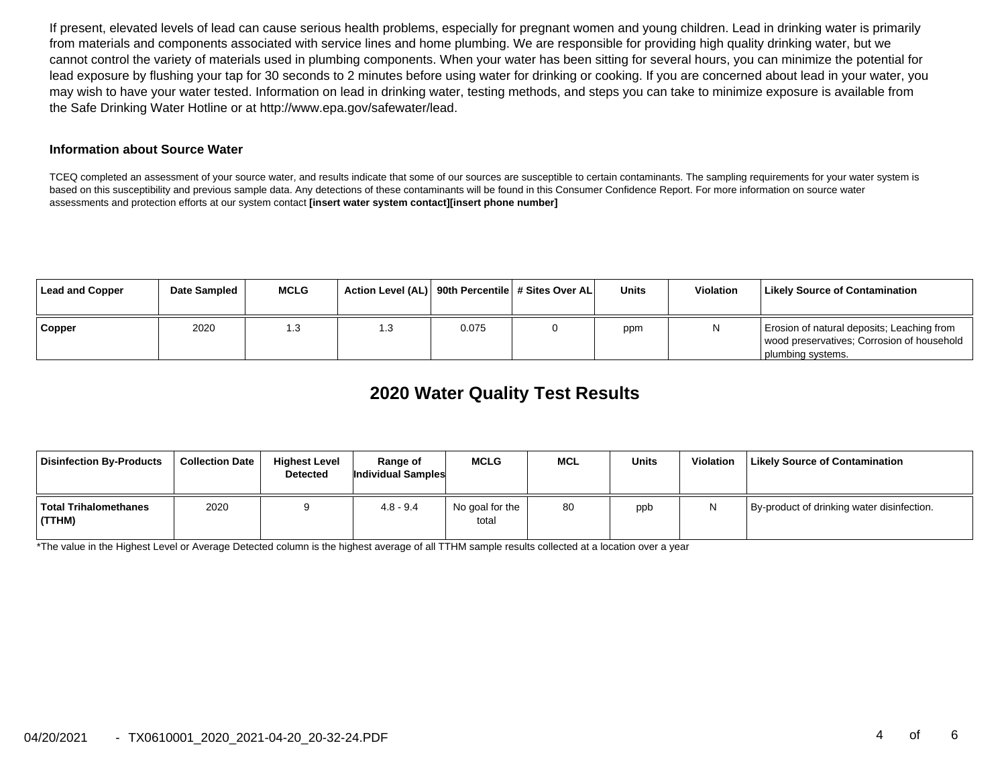If present, elevated levels of lead can cause serious health problems, especially for pregnant women and young children. Lead in drinking water is primarilyfrom materials and components associated with service lines and home plumbing. We are responsible for providing high quality drinking water, but we cannot control the variety of materials used in plumbing components. When your water has been sitting for several hours, you can minimize the potential forlead exposure by flushing your tap for 30 seconds to 2 minutes before using water for drinking or cooking. If you are concerned about lead in your water, you may wish to have your water tested. Information on lead in drinking water, testing methods, and steps you can take to minimize exposure is available fromthe Safe Drinking Water Hotline or at http://www.epa.gov/safewater/lead.

#### **Information about Source Water**

TCEQ completed an assessment of your source water, and results indicate that some of our sources are susceptible to certain contaminants. The sampling requirements for your water system is based on this susceptibility and previous sample data. Any detections of these contaminants will be found in this Consumer Confidence Report. For more information on source waterassessments and protection efforts at our system contact **[insert water system contact][insert phone number]**

| Lead and Copper | Date Sampled | <b>MCLG</b> | Action Level (AL) 90th Percentile # Sites Over AL |       | Units | <b>Violation</b> | Likely Source of Contamination                                                                                |
|-----------------|--------------|-------------|---------------------------------------------------|-------|-------|------------------|---------------------------------------------------------------------------------------------------------------|
| Copper          | 2020         | l .3        | 1.3                                               | 0.075 | ppm   |                  | Erosion of natural deposits; Leaching from<br>wood preservatives; Corrosion of household<br>plumbing systems. |

# **2020 Water Quality Test Results**

| Disinfection By-Products          | <b>Collection Date</b> | <b>Highest Level</b><br><b>Detected</b> | Range of<br>Individual Samples | <b>MCLG</b>              | <b>MCL</b> | Units | <b>Violation</b> | <b>Likely Source of Contamination</b>      |
|-----------------------------------|------------------------|-----------------------------------------|--------------------------------|--------------------------|------------|-------|------------------|--------------------------------------------|
| ∣ Total Trihalomethanes<br>(TTHM) | 2020                   |                                         | $4.8 - 9.4$                    | No goal for the<br>total | 80         | ppb   |                  | By-product of drinking water disinfection. |

\*The value in the Highest Level or Average Detected column is the highest average of all TTHM sample results collected at a location over a year